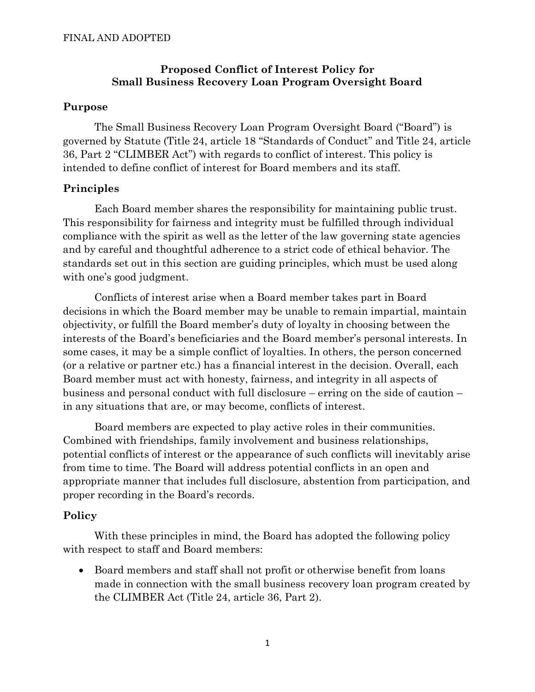## **Proposed Conflict of Interest Policy for Small Business Recovery Loan Program Oversight Board**

#### **Purpose**

The Small Business Recovery Loan Program Oversight Board ("Board") is governed by Statute (Title 24, article 18 "Standards of Conduct" and Title 24, article 36, Part 2 "CLIMBER Act") with regards to conflict of interest. This policy is intended to define conflict of interest for Board members and its staff.

## **Principles**

Each Board member shares the responsibility for maintaining public trust. This responsibility for fairness and integrity must be fulfilled through individual compliance with the spirit as well as the letter of the law governing state agencies and by careful and thoughtful adherence to a strict code of ethical behavior. The standards set out in this section are guiding principles, which must be used along with one's good judgment.

Conflicts of interest arise when a Board member takes part in Board decisions in which the Board member may be unable to remain impartial, maintain objectivity, or fulfill the Board member's duty of loyalty in choosing between the interests of the Board's beneficiaries and the Board member's personal interests. In some cases, it may be a simple conflict of loyalties. In others, the person concerned (or a relative or partner etc.) has a financial interest in the decision. Overall, each Board member must act with honesty, fairness, and integrity in all aspects of business and personal conduct with full disclosure – erring on the side of caution – in any situations that are, or may become, conflicts of interest.

Board members are expected to play active roles in their communities. Combined with friendships, family involvement and business relationships, potential conflicts of interest or the appearance of such conflicts will inevitably arise from time to time. The Board will address potential conflicts in an open and appropriate manner that includes full disclosure, abstention from participation, and proper recording in the Board's records.

# **Policy**

With these principles in mind, the Board has adopted the following policy with respect to staff and Board members:

• Board members and staff shall not profit or otherwise benefit from loans made in connection with the small business recovery loan program created by the CLIMBER Act (Title 24, article 36, Part 2).